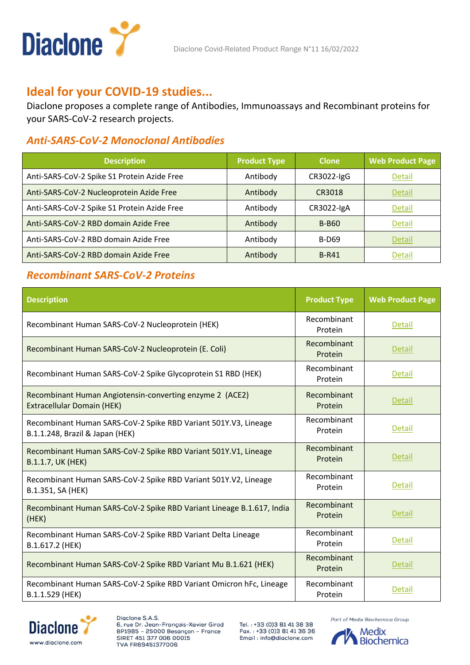

# **Ideal for your COVID-19 studies...**

Diaclone proposes a complete range of Antibodies, Immunoassays and Recombinant proteins for your SARS-CoV-2 research projects.

### *Anti-SARS-CoV-2 Monoclonal Antibodies*

| <b>Description</b>                          | <b>Product Type</b> | <b>Clone</b> | <b>Web Product Page</b> |
|---------------------------------------------|---------------------|--------------|-------------------------|
| Anti-SARS-CoV-2 Spike S1 Protein Azide Free | Antibody            | CR3022-IgG   | Detail                  |
| Anti-SARS-CoV-2 Nucleoprotein Azide Free    | Antibody            | CR3018       | Detail                  |
| Anti-SARS-CoV-2 Spike S1 Protein Azide Free | Antibody            | CR3022-IgA   | Detail                  |
| Anti-SARS-CoV-2 RBD domain Azide Free       | Antibody            | <b>B-B60</b> | Detail                  |
| Anti-SARS-CoV-2 RBD domain Azide Free       | Antibody            | <b>B-D69</b> | Detail                  |
| Anti-SARS-CoV-2 RBD domain Azide Free       | Antibody            | <b>B-R41</b> | Detail                  |

## *Recombinant SARS-CoV-2 Proteins*

| <b>Description</b>                                                                                 | <b>Product Type</b>    | <b>Web Product Page</b> |
|----------------------------------------------------------------------------------------------------|------------------------|-------------------------|
| Recombinant Human SARS-CoV-2 Nucleoprotein (HEK)                                                   | Recombinant<br>Protein | <b>Detail</b>           |
| Recombinant Human SARS-CoV-2 Nucleoprotein (E. Coli)                                               | Recombinant<br>Protein | Detail                  |
| Recombinant Human SARS-CoV-2 Spike Glycoprotein S1 RBD (HEK)                                       | Recombinant<br>Protein | Detail                  |
| Recombinant Human Angiotensin-converting enzyme 2 (ACE2)<br><b>Extracellular Domain (HEK)</b>      | Recombinant<br>Protein | Detail                  |
| Recombinant Human SARS-CoV-2 Spike RBD Variant 501Y.V3, Lineage<br>B.1.1.248, Brazil & Japan (HEK) | Recombinant<br>Protein | Detail                  |
| Recombinant Human SARS-CoV-2 Spike RBD Variant 501Y.V1, Lineage<br>B.1.1.7, UK (HEK)               | Recombinant<br>Protein | <b>Detail</b>           |
| Recombinant Human SARS-CoV-2 Spike RBD Variant 501Y.V2, Lineage<br>B.1.351, SA (HEK)               | Recombinant<br>Protein | Detail                  |
| Recombinant Human SARS-CoV-2 Spike RBD Variant Lineage B.1.617, India<br>(HEK)                     | Recombinant<br>Protein | <b>Detail</b>           |
| Recombinant Human SARS-CoV-2 Spike RBD Variant Delta Lineage<br>B.1.617.2 (HEK)                    | Recombinant<br>Protein | <b>Detail</b>           |
| Recombinant Human SARS-CoV-2 Spike RBD Variant Mu B.1.621 (HEK)                                    | Recombinant<br>Protein | <b>Detail</b>           |
| Recombinant Human SARS-CoV-2 Spike RBD Variant Omicron hFc, Lineage<br>B.1.1.529 (HEK)             | Recombinant<br>Protein | <b>Detail</b>           |



Diaclone S.A.S. 6, rue Dr. Jean-François-Xavier Girod BP1985 - 25000 Besançon - France SIRET 451 377 006 00015 TVA FR69451377006

Tel.: +33 (0)3 81 41 38 38 Fax.: +33 (0)3 81 41 36 36 Email: info@diaclone.com

Part of Medix Biochemica Group

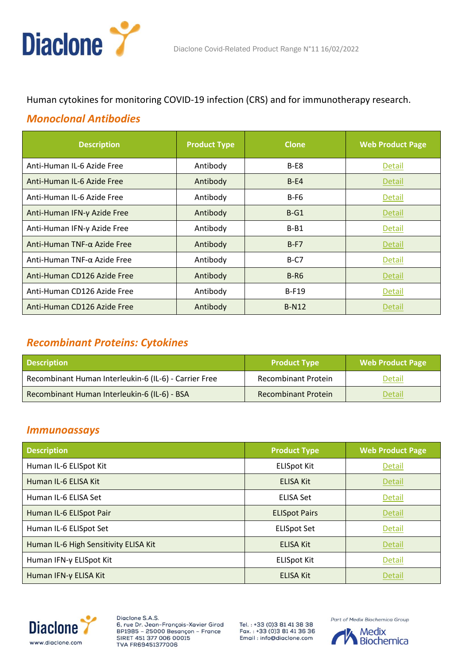

#### Human cytokines for monitoring COVID-19 infection (CRS) and for immunotherapy research.

#### *Monoclonal Antibodies*

| <b>Description</b>             | <b>Product Type</b> | <b>Clone</b> | <b>Web Product Page</b> |
|--------------------------------|---------------------|--------------|-------------------------|
| Anti-Human IL-6 Azide Free     | Antibody            | $B-E8$       | Detail                  |
| Anti-Human IL-6 Azide Free     | Antibody            | $B-E4$       | Detail                  |
| Anti-Human IL-6 Azide Free     | Antibody            | $B-F6$       | <b>Detail</b>           |
| Anti-Human IFN-γ Azide Free    | Antibody            | $B-G1$       | Detail                  |
| Anti-Human IFN-γ Azide Free    | Antibody            | $B - B1$     | Detail                  |
| Anti-Human TNF- $α$ Azide Free | Antibody            | $B-F7$       | Detail                  |
| Anti-Human TNF-α Azide Free    | Antibody            | $B-C7$       | Detail                  |
| Anti-Human CD126 Azide Free    | Antibody            | $B-R6$       | Detail                  |
| Anti-Human CD126 Azide Free    | Antibody            | $B-F19$      | <b>Detail</b>           |
| Anti-Human CD126 Azide Free    | Antibody            | <b>B-N12</b> | Detail                  |

### *Recombinant Proteins: Cytokines*

| <b>Description</b>                                    | <b>Product Type</b>        | <b>Web Product Page</b> |
|-------------------------------------------------------|----------------------------|-------------------------|
| Recombinant Human Interleukin-6 (IL-6) - Carrier Free | <b>Recombinant Protein</b> | Detail                  |
| Recombinant Human Interleukin-6 (IL-6) - BSA          | <b>Recombinant Protein</b> | Detail                  |

#### *Immunoassays*

| <b>Description</b>                    | <b>Product Type</b>  | <b>Web Product Page</b> |
|---------------------------------------|----------------------|-------------------------|
| Human IL-6 ELISpot Kit                | <b>ELISpot Kit</b>   | <b>Detail</b>           |
| Human IL-6 ELISA Kit                  | <b>ELISA Kit</b>     | <b>Detail</b>           |
| Human IL-6 ELISA Set                  | <b>ELISA Set</b>     | <b>Detail</b>           |
| Human IL-6 ELISpot Pair               | <b>ELISpot Pairs</b> | <b>Detail</b>           |
| Human IL-6 ELISpot Set                | <b>ELISpot Set</b>   | Detail                  |
| Human IL-6 High Sensitivity ELISA Kit | <b>ELISA Kit</b>     | <b>Detail</b>           |
| Human IFN-γ ELISpot Kit               | <b>ELISpot Kit</b>   | <b>Detail</b>           |
| Human IFN-γ ELISA Kit                 | <b>ELISA Kit</b>     | <b>Detail</b>           |



Diaclone S.A.S. 6, rue Dr. Jean-François-Xavier Girod BP1985 - 25000 Besançon - France SIRET 451 377 006 00015 TVA FR69451377006

Tel.: +33 (0)3 81 41 38 38 Fax.: +33 (0)3 81 41 36 36 Email: info@diaclone.com

Part of Medix Biochemica Group